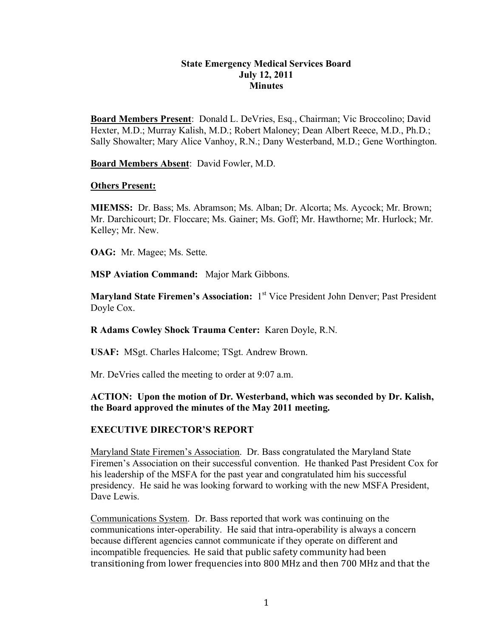#### **State Emergency Medical Services Board July 12, 2011 Minutes**

**Board Members Present**: Donald L. DeVries, Esq., Chairman; Vic Broccolino; David Hexter, M.D.; Murray Kalish, M.D.; Robert Maloney; Dean Albert Reece, M.D., Ph.D.; Sally Showalter; Mary Alice Vanhoy, R.N.; Dany Westerband, M.D.; Gene Worthington.

**Board Members Absent**: David Fowler, M.D.

#### **Others Present:**

**MIEMSS:** Dr. Bass; Ms. Abramson; Ms. Alban; Dr. Alcorta; Ms. Aycock; Mr. Brown; Mr. Darchicourt; Dr. Floccare; Ms. Gainer; Ms. Goff; Mr. Hawthorne; Mr. Hurlock; Mr. Kelley; Mr. New.

**OAG:** Mr. Magee; Ms. Sette.

**MSP Aviation Command:** Major Mark Gibbons.

**Maryland State Firemen's Association:** 1<sup>st</sup> Vice President John Denver; Past President Doyle Cox.

**R Adams Cowley Shock Trauma Center:** Karen Doyle, R.N.

**USAF:** MSgt. Charles Halcome; TSgt. Andrew Brown.

Mr. DeVries called the meeting to order at 9:07 a.m.

#### **ACTION: Upon the motion of Dr. Westerband, which was seconded by Dr. Kalish, the Board approved the minutes of the May 2011 meeting.**

#### **EXECUTIVE DIRECTOR'S REPORT**

Maryland State Firemen's Association. Dr. Bass congratulated the Maryland State Firemen's Association on their successful convention. He thanked Past President Cox for his leadership of the MSFA for the past year and congratulated him his successful presidency. He said he was looking forward to working with the new MSFA President, Dave Lewis.

Communications System. Dr. Bass reported that work was continuing on the communications inter-operability. He said that intra-operability is always a concern because different agencies cannot communicate if they operate on different and incompatible frequencies. He said that public safety community had been transitioning from lower frequencies into 800 MHz and then 700 MHz and that the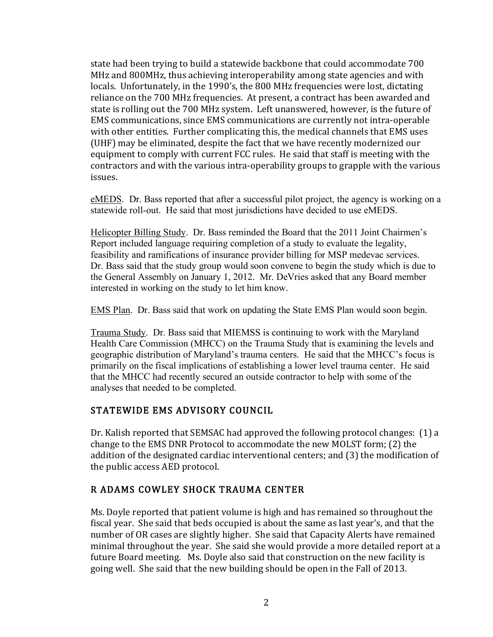state had been trying to build a statewide backbone that could accommodate 700 MHz and 800MHz, thus achieving interoperability among state agencies and with locals. Unfortunately, in the 1990's, the 800 MHz frequencies were lost, dictating reliance on the 700 MHz frequencies. At present, a contract has been awarded and state is rolling out the 700 MHz system. Left unanswered, however, is the future of EMS communications, since EMS communications are currently not intra-operable with other entities. Further complicating this, the medical channels that EMS uses (UHF) may be eliminated, despite the fact that we have recently modernized our equipment to comply with current FCC rules. He said that staff is meeting with the contractors and with the various intra-operability groups to grapple with the various issues.

eMEDS. Dr. Bass reported that after a successful pilot project, the agency is working on a statewide roll-out. He said that most jurisdictions have decided to use eMEDS.

Helicopter Billing Study. Dr. Bass reminded the Board that the 2011 Joint Chairmen's Report included language requiring completion of a study to evaluate the legality, feasibility and ramifications of insurance provider billing for MSP medevac services. Dr. Bass said that the study group would soon convene to begin the study which is due to the General Assembly on January 1, 2012. Mr. DeVries asked that any Board member interested in working on the study to let him know.

EMS Plan. Dr. Bass said that work on updating the State EMS Plan would soon begin.

Trauma Study. Dr. Bass said that MIEMSS is continuing to work with the Maryland Health Care Commission (MHCC) on the Trauma Study that is examining the levels and geographic distribution of Maryland's trauma centers. He said that the MHCC's focus is primarily on the fiscal implications of establishing a lower level trauma center. He said that the MHCC had recently secured an outside contractor to help with some of the analyses that needed to be completed.

# STATEWIDE EMS ADVISORY COUNCIL

Dr. Kalish reported that SEMSAC had approved the following protocol changes: (1) a change to the EMS DNR Protocol to accommodate the new MOLST form; (2) the addition of the designated cardiac interventional centers; and (3) the modification of the public access AED protocol.

# R ADAMS COWLEY SHOCK TRAUMA CENTER

Ms. Doyle reported that patient volume is high and has remained so throughout the fiscal year. She said that beds occupied is about the same as last year's, and that the number of OR cases are slightly higher. She said that Capacity Alerts have remained minimal throughout the year. She said she would provide a more detailed report at a future Board meeting. Ms. Doyle also said that construction on the new facility is going well. She said that the new building should be open in the Fall of 2013.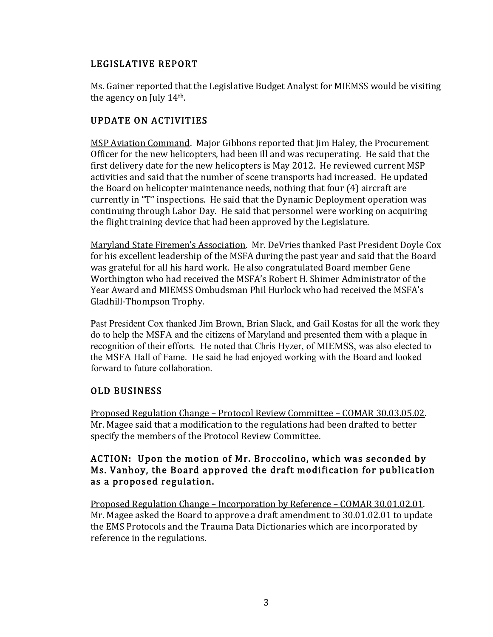# LEGISLATIVE REPORT

Ms. Gainer reported that the Legislative Budget Analyst for MIEMSS would be visiting the agency on July  $14<sup>th</sup>$ .

# UPDATE ON ACTIVITIES

MSP Aviation Command. Major Gibbons reported that Jim Haley, the Procurement Officer for the new helicopters, had been ill and was recuperating. He said that the first delivery date for the new helicopters is May 2012. He reviewed current MSP activities and said that the number of scene transports had increased. He updated the Board on helicopter maintenance needs, nothing that four  $(4)$  aircraft are currently in "T" inspections. He said that the Dynamic Deployment operation was continuing through Labor Day. He said that personnel were working on acquiring the flight training device that had been approved by the Legislature.

Maryland State Firemen's Association. Mr. DeVries thanked Past President Doyle Cox for his excellent leadership of the MSFA during the past year and said that the Board was grateful for all his hard work. He also congratulated Board member Gene Worthington who had received the MSFA's Robert H. Shimer Administrator of the Year Award and MIEMSS Ombudsman Phil Hurlock who had received the MSFA's Gladhill-Thompson Trophy.

Past President Cox thanked Jim Brown, Brian Slack, and Gail Kostas for all the work they do to help the MSFA and the citizens of Maryland and presented them with a plaque in recognition of their efforts. He noted that Chris Hyzer, of MIEMSS, was also elected to the MSFA Hall of Fame. He said he had enjoyed working with the Board and looked forward to future collaboration.

# OLD BUSINESS

Proposed Regulation Change – Protocol Review Committee – COMAR 30.03.05.02. Mr. Magee said that a modification to the regulations had been drafted to better specify the members of the Protocol Review Committee.

## ACTION: Upon the motion of Mr. Broccolino, which was seconded by Ms. Vanhoy, the Board approved the draft modification for publication as a proposed regulation.

Proposed Regulation Change – Incorporation by Reference – COMAR 30.01.02.01. Mr. Magee asked the Board to approve a draft amendment to 30.01.02.01 to update the EMS Protocols and the Trauma Data Dictionaries which are incorporated by reference in the regulations.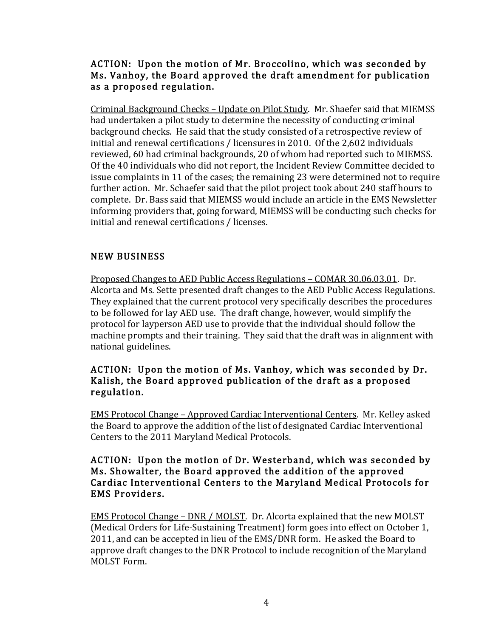## ACTION: Upon the motion of Mr. Broccolino, which was seconded by Ms. Vanhoy, the Board approved the draft amendment for publication as a proposed regulation.

Criminal Background Checks – Update on Pilot Study. Mr. Shaefer said that MIEMSS had undertaken a pilot study to determine the necessity of conducting criminal background checks. He said that the study consisted of a retrospective review of initial and renewal certifications / licensures in 2010. Of the 2,602 individuals reviewed, 60 had criminal backgrounds, 20 of whom had reported such to MIEMSS. Of the 40 individuals who did not report, the Incident Review Committee decided to issue complaints in 11 of the cases; the remaining 23 were determined not to require further action. Mr. Schaefer said that the pilot project took about 240 staff hours to complete. Dr. Bass said that MIEMSS would include an article in the EMS Newsletter informing providers that, going forward, MIEMSS will be conducting such checks for initial and renewal certifications / licenses.

# **NEW BUSINESS**

Proposed Changes to AED Public Access Regulations – COMAR 30.06.03.01. Dr. Alcorta and Ms. Sette presented draft changes to the AED Public Access Regulations. They explained that the current protocol very specifically describes the procedures to be followed for lay AED use. The draft change, however, would simplify the protocol for layperson AED use to provide that the individual should follow the machine prompts and their training. They said that the draft was in alignment with national guidelines.

## ACTION: Upon the motion of Ms. Vanhoy, which was seconded by Dr. Kalish, the Board approved publication of the draft as a proposed regulation.

EMS Protocol Change – Approved Cardiac Interventional Centers. Mr. Kelley asked the Board to approve the addition of the list of designated Cardiac Interventional Centers to the 2011 Maryland Medical Protocols.

#### ACTION: Upon the motion of Dr. Westerband, which was seconded by Ms. Showalter, the Board approved the addition of the approved Cardiac Interventional Centers to the Maryland Medical Protocols for EMS Providers.

<u>EMS Protocol Change – DNR / MOLST</u>. Dr. Alcorta explained that the new MOLST (Medical Orders for Life-Sustaining Treatment) form goes into effect on October 1, 2011, and can be accepted in lieu of the EMS/DNR form. He asked the Board to approve draft changes to the DNR Protocol to include recognition of the Maryland MOLST Form.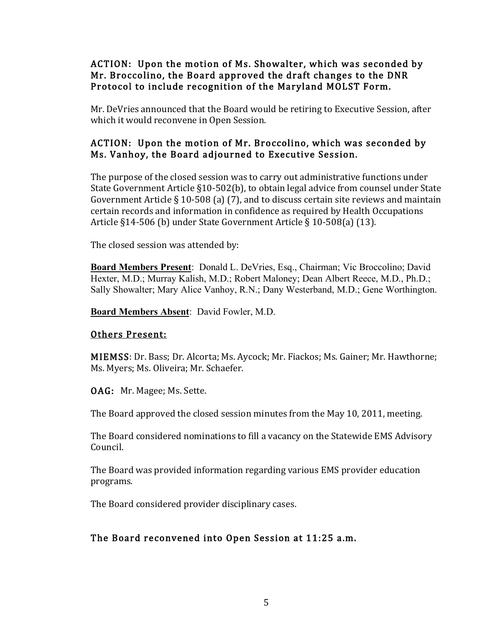## ACTION: Upon the motion of Ms. Showalter, which was seconded by Mr. Broccolino, the Board approved the draft changes to the DNR Protocol to include recognition of the Maryland MOLST Form.

Mr. DeVries announced that the Board would be retiring to Executive Session, after which it would reconvene in Open Session.

# ACTION: Upon the motion of Mr. Broccolino, which was seconded by Ms. Vanhoy, the Board adjourned to Executive Session.

The purpose of the closed session was to carry out administrative functions under State Government Article  $\S10-502(b)$ , to obtain legal advice from counsel under State Government Article § 10-508 (a) (7), and to discuss certain site reviews and maintain certain records and information in confidence as required by Health Occupations Article §14-506 (b) under State Government Article § 10-508(a) (13).

The closed session was attended by:

**Board Members Present**: Donald L. DeVries, Esq., Chairman; Vic Broccolino; David Hexter, M.D.; Murray Kalish, M.D.; Robert Maloney; Dean Albert Reece, M.D., Ph.D.; Sally Showalter; Mary Alice Vanhoy, R.N.; Dany Westerband, M.D.; Gene Worthington.

**Board Members Absent**: David Fowler, M.D.

#### Others Present:

MIEMSS: Dr. Bass; Dr. Alcorta; Ms. Aycock; Mr. Fiackos; Ms. Gainer; Mr. Hawthorne; Ms. Myers; Ms. Oliveira; Mr. Schaefer.

OAG: Mr. Magee; Ms. Sette.

The Board approved the closed session minutes from the May 10, 2011, meeting.

The Board considered nominations to fill a vacancy on the Statewide EMS Advisory Council.

The Board was provided information regarding various EMS provider education programs.

The Board considered provider disciplinary cases.

# The Board reconvened into Open Session at 11:25 a.m.